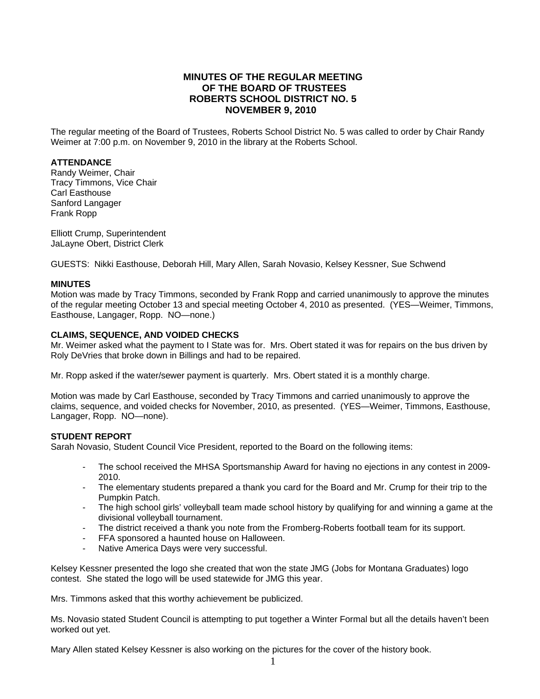# **MINUTES OF THE REGULAR MEETING OF THE BOARD OF TRUSTEES ROBERTS SCHOOL DISTRICT NO. 5 NOVEMBER 9, 2010**

The regular meeting of the Board of Trustees, Roberts School District No. 5 was called to order by Chair Randy Weimer at 7:00 p.m. on November 9, 2010 in the library at the Roberts School.

### **ATTENDANCE**

Randy Weimer, Chair Tracy Timmons, Vice Chair Carl Easthouse Sanford Langager Frank Ropp

Elliott Crump, Superintendent JaLayne Obert, District Clerk

GUESTS: Nikki Easthouse, Deborah Hill, Mary Allen, Sarah Novasio, Kelsey Kessner, Sue Schwend

#### **MINUTES**

Motion was made by Tracy Timmons, seconded by Frank Ropp and carried unanimously to approve the minutes of the regular meeting October 13 and special meeting October 4, 2010 as presented. (YES—Weimer, Timmons, Easthouse, Langager, Ropp. NO—none.)

#### **CLAIMS, SEQUENCE, AND VOIDED CHECKS**

Mr. Weimer asked what the payment to I State was for. Mrs. Obert stated it was for repairs on the bus driven by Roly DeVries that broke down in Billings and had to be repaired.

Mr. Ropp asked if the water/sewer payment is quarterly. Mrs. Obert stated it is a monthly charge.

Motion was made by Carl Easthouse, seconded by Tracy Timmons and carried unanimously to approve the claims, sequence, and voided checks for November, 2010, as presented. (YES—Weimer, Timmons, Easthouse, Langager, Ropp. NO—none).

# **STUDENT REPORT**

Sarah Novasio, Student Council Vice President, reported to the Board on the following items:

- The school received the MHSA Sportsmanship Award for having no ejections in any contest in 2009- 2010.
- The elementary students prepared a thank you card for the Board and Mr. Crump for their trip to the Pumpkin Patch.
- The high school girls' volleyball team made school history by qualifying for and winning a game at the divisional volleyball tournament.
- The district received a thank you note from the Fromberg-Roberts football team for its support.
- FFA sponsored a haunted house on Halloween.
- Native America Days were very successful.

Kelsey Kessner presented the logo she created that won the state JMG (Jobs for Montana Graduates) logo contest. She stated the logo will be used statewide for JMG this year.

Mrs. Timmons asked that this worthy achievement be publicized.

Ms. Novasio stated Student Council is attempting to put together a Winter Formal but all the details haven't been worked out yet.

Mary Allen stated Kelsey Kessner is also working on the pictures for the cover of the history book.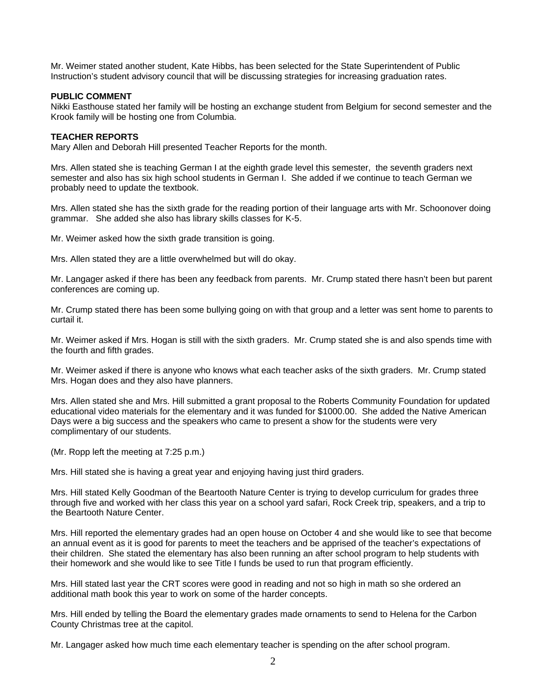Mr. Weimer stated another student, Kate Hibbs, has been selected for the State Superintendent of Public Instruction's student advisory council that will be discussing strategies for increasing graduation rates.

### **PUBLIC COMMENT**

Nikki Easthouse stated her family will be hosting an exchange student from Belgium for second semester and the Krook family will be hosting one from Columbia.

### **TEACHER REPORTS**

Mary Allen and Deborah Hill presented Teacher Reports for the month.

Mrs. Allen stated she is teaching German I at the eighth grade level this semester, the seventh graders next semester and also has six high school students in German I. She added if we continue to teach German we probably need to update the textbook.

Mrs. Allen stated she has the sixth grade for the reading portion of their language arts with Mr. Schoonover doing grammar. She added she also has library skills classes for K-5.

Mr. Weimer asked how the sixth grade transition is going.

Mrs. Allen stated they are a little overwhelmed but will do okay.

Mr. Langager asked if there has been any feedback from parents. Mr. Crump stated there hasn't been but parent conferences are coming up.

Mr. Crump stated there has been some bullying going on with that group and a letter was sent home to parents to curtail it.

Mr. Weimer asked if Mrs. Hogan is still with the sixth graders. Mr. Crump stated she is and also spends time with the fourth and fifth grades.

Mr. Weimer asked if there is anyone who knows what each teacher asks of the sixth graders. Mr. Crump stated Mrs. Hogan does and they also have planners.

Mrs. Allen stated she and Mrs. Hill submitted a grant proposal to the Roberts Community Foundation for updated educational video materials for the elementary and it was funded for \$1000.00. She added the Native American Days were a big success and the speakers who came to present a show for the students were very complimentary of our students.

(Mr. Ropp left the meeting at 7:25 p.m.)

Mrs. Hill stated she is having a great year and enjoying having just third graders.

Mrs. Hill stated Kelly Goodman of the Beartooth Nature Center is trying to develop curriculum for grades three through five and worked with her class this year on a school yard safari, Rock Creek trip, speakers, and a trip to the Beartooth Nature Center.

Mrs. Hill reported the elementary grades had an open house on October 4 and she would like to see that become an annual event as it is good for parents to meet the teachers and be apprised of the teacher's expectations of their children. She stated the elementary has also been running an after school program to help students with their homework and she would like to see Title I funds be used to run that program efficiently.

Mrs. Hill stated last year the CRT scores were good in reading and not so high in math so she ordered an additional math book this year to work on some of the harder concepts.

Mrs. Hill ended by telling the Board the elementary grades made ornaments to send to Helena for the Carbon County Christmas tree at the capitol.

Mr. Langager asked how much time each elementary teacher is spending on the after school program.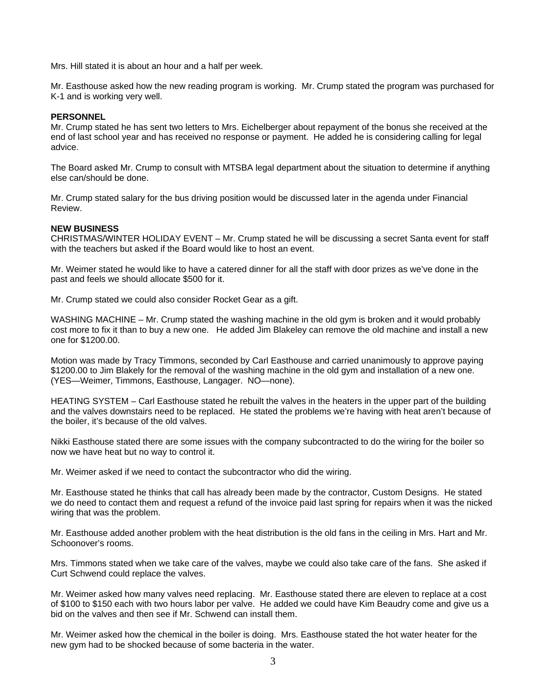Mrs. Hill stated it is about an hour and a half per week.

Mr. Easthouse asked how the new reading program is working. Mr. Crump stated the program was purchased for K-1 and is working very well.

#### **PERSONNEL**

Mr. Crump stated he has sent two letters to Mrs. Eichelberger about repayment of the bonus she received at the end of last school year and has received no response or payment. He added he is considering calling for legal advice.

The Board asked Mr. Crump to consult with MTSBA legal department about the situation to determine if anything else can/should be done.

Mr. Crump stated salary for the bus driving position would be discussed later in the agenda under Financial Review.

#### **NEW BUSINESS**

CHRISTMAS/WINTER HOLIDAY EVENT – Mr. Crump stated he will be discussing a secret Santa event for staff with the teachers but asked if the Board would like to host an event.

Mr. Weimer stated he would like to have a catered dinner for all the staff with door prizes as we've done in the past and feels we should allocate \$500 for it.

Mr. Crump stated we could also consider Rocket Gear as a gift.

WASHING MACHINE – Mr. Crump stated the washing machine in the old gym is broken and it would probably cost more to fix it than to buy a new one. He added Jim Blakeley can remove the old machine and install a new one for \$1200.00.

Motion was made by Tracy Timmons, seconded by Carl Easthouse and carried unanimously to approve paying \$1200.00 to Jim Blakely for the removal of the washing machine in the old gym and installation of a new one. (YES—Weimer, Timmons, Easthouse, Langager. NO—none).

HEATING SYSTEM – Carl Easthouse stated he rebuilt the valves in the heaters in the upper part of the building and the valves downstairs need to be replaced. He stated the problems we're having with heat aren't because of the boiler, it's because of the old valves.

Nikki Easthouse stated there are some issues with the company subcontracted to do the wiring for the boiler so now we have heat but no way to control it.

Mr. Weimer asked if we need to contact the subcontractor who did the wiring.

Mr. Easthouse stated he thinks that call has already been made by the contractor, Custom Designs. He stated we do need to contact them and request a refund of the invoice paid last spring for repairs when it was the nicked wiring that was the problem.

Mr. Easthouse added another problem with the heat distribution is the old fans in the ceiling in Mrs. Hart and Mr. Schoonover's rooms.

Mrs. Timmons stated when we take care of the valves, maybe we could also take care of the fans. She asked if Curt Schwend could replace the valves.

Mr. Weimer asked how many valves need replacing. Mr. Easthouse stated there are eleven to replace at a cost of \$100 to \$150 each with two hours labor per valve. He added we could have Kim Beaudry come and give us a bid on the valves and then see if Mr. Schwend can install them.

Mr. Weimer asked how the chemical in the boiler is doing. Mrs. Easthouse stated the hot water heater for the new gym had to be shocked because of some bacteria in the water.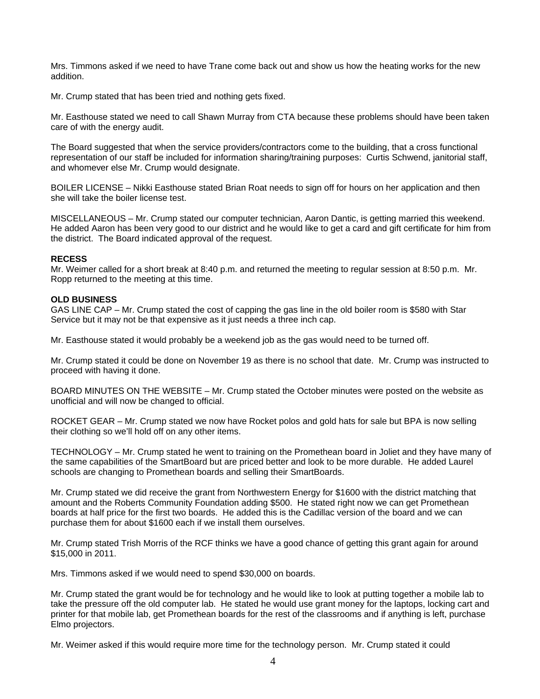Mrs. Timmons asked if we need to have Trane come back out and show us how the heating works for the new addition.

Mr. Crump stated that has been tried and nothing gets fixed.

Mr. Easthouse stated we need to call Shawn Murray from CTA because these problems should have been taken care of with the energy audit.

The Board suggested that when the service providers/contractors come to the building, that a cross functional representation of our staff be included for information sharing/training purposes: Curtis Schwend, janitorial staff, and whomever else Mr. Crump would designate.

BOILER LICENSE – Nikki Easthouse stated Brian Roat needs to sign off for hours on her application and then she will take the boiler license test.

MISCELLANEOUS – Mr. Crump stated our computer technician, Aaron Dantic, is getting married this weekend. He added Aaron has been very good to our district and he would like to get a card and gift certificate for him from the district. The Board indicated approval of the request.

#### **RECESS**

Mr. Weimer called for a short break at 8:40 p.m. and returned the meeting to regular session at 8:50 p.m. Mr. Ropp returned to the meeting at this time.

## **OLD BUSINESS**

GAS LINE CAP – Mr. Crump stated the cost of capping the gas line in the old boiler room is \$580 with Star Service but it may not be that expensive as it just needs a three inch cap.

Mr. Easthouse stated it would probably be a weekend job as the gas would need to be turned off.

Mr. Crump stated it could be done on November 19 as there is no school that date. Mr. Crump was instructed to proceed with having it done.

BOARD MINUTES ON THE WEBSITE – Mr. Crump stated the October minutes were posted on the website as unofficial and will now be changed to official.

ROCKET GEAR – Mr. Crump stated we now have Rocket polos and gold hats for sale but BPA is now selling their clothing so we'll hold off on any other items.

TECHNOLOGY – Mr. Crump stated he went to training on the Promethean board in Joliet and they have many of the same capabilities of the SmartBoard but are priced better and look to be more durable. He added Laurel schools are changing to Promethean boards and selling their SmartBoards.

Mr. Crump stated we did receive the grant from Northwestern Energy for \$1600 with the district matching that amount and the Roberts Community Foundation adding \$500. He stated right now we can get Promethean boards at half price for the first two boards. He added this is the Cadillac version of the board and we can purchase them for about \$1600 each if we install them ourselves.

Mr. Crump stated Trish Morris of the RCF thinks we have a good chance of getting this grant again for around \$15,000 in 2011.

Mrs. Timmons asked if we would need to spend \$30,000 on boards.

Mr. Crump stated the grant would be for technology and he would like to look at putting together a mobile lab to take the pressure off the old computer lab. He stated he would use grant money for the laptops, locking cart and printer for that mobile lab, get Promethean boards for the rest of the classrooms and if anything is left, purchase Elmo projectors.

Mr. Weimer asked if this would require more time for the technology person. Mr. Crump stated it could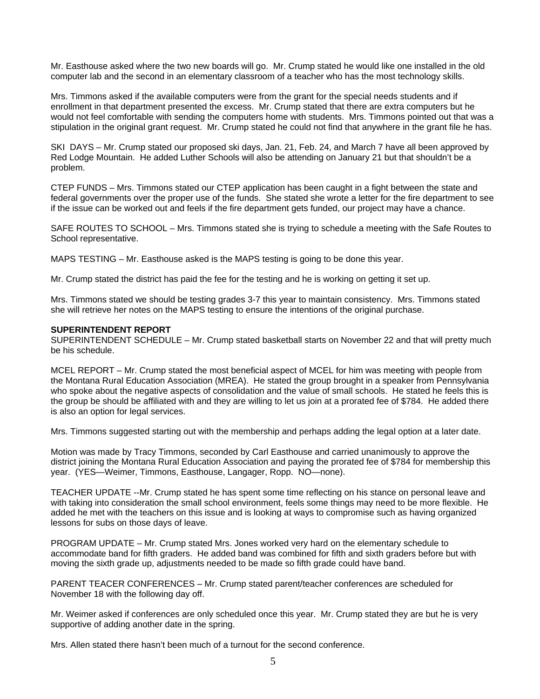Mr. Easthouse asked where the two new boards will go. Mr. Crump stated he would like one installed in the old computer lab and the second in an elementary classroom of a teacher who has the most technology skills.

Mrs. Timmons asked if the available computers were from the grant for the special needs students and if enrollment in that department presented the excess. Mr. Crump stated that there are extra computers but he would not feel comfortable with sending the computers home with students. Mrs. Timmons pointed out that was a stipulation in the original grant request. Mr. Crump stated he could not find that anywhere in the grant file he has.

SKI DAYS – Mr. Crump stated our proposed ski days, Jan. 21, Feb. 24, and March 7 have all been approved by Red Lodge Mountain. He added Luther Schools will also be attending on January 21 but that shouldn't be a problem.

CTEP FUNDS – Mrs. Timmons stated our CTEP application has been caught in a fight between the state and federal governments over the proper use of the funds. She stated she wrote a letter for the fire department to see if the issue can be worked out and feels if the fire department gets funded, our project may have a chance.

SAFE ROUTES TO SCHOOL – Mrs. Timmons stated she is trying to schedule a meeting with the Safe Routes to School representative.

MAPS TESTING – Mr. Easthouse asked is the MAPS testing is going to be done this year.

Mr. Crump stated the district has paid the fee for the testing and he is working on getting it set up.

Mrs. Timmons stated we should be testing grades 3-7 this year to maintain consistency. Mrs. Timmons stated she will retrieve her notes on the MAPS testing to ensure the intentions of the original purchase.

### **SUPERINTENDENT REPORT**

SUPERINTENDENT SCHEDULE – Mr. Crump stated basketball starts on November 22 and that will pretty much be his schedule.

MCEL REPORT – Mr. Crump stated the most beneficial aspect of MCEL for him was meeting with people from the Montana Rural Education Association (MREA). He stated the group brought in a speaker from Pennsylvania who spoke about the negative aspects of consolidation and the value of small schools. He stated he feels this is the group be should be affiliated with and they are willing to let us join at a prorated fee of \$784. He added there is also an option for legal services.

Mrs. Timmons suggested starting out with the membership and perhaps adding the legal option at a later date.

Motion was made by Tracy Timmons, seconded by Carl Easthouse and carried unanimously to approve the district joining the Montana Rural Education Association and paying the prorated fee of \$784 for membership this year. (YES—Weimer, Timmons, Easthouse, Langager, Ropp. NO—none).

TEACHER UPDATE --Mr. Crump stated he has spent some time reflecting on his stance on personal leave and with taking into consideration the small school environment, feels some things may need to be more flexible. He added he met with the teachers on this issue and is looking at ways to compromise such as having organized lessons for subs on those days of leave.

PROGRAM UPDATE – Mr. Crump stated Mrs. Jones worked very hard on the elementary schedule to accommodate band for fifth graders. He added band was combined for fifth and sixth graders before but with moving the sixth grade up, adjustments needed to be made so fifth grade could have band.

PARENT TEACER CONFERENCES – Mr. Crump stated parent/teacher conferences are scheduled for November 18 with the following day off.

Mr. Weimer asked if conferences are only scheduled once this year. Mr. Crump stated they are but he is very supportive of adding another date in the spring.

Mrs. Allen stated there hasn't been much of a turnout for the second conference.